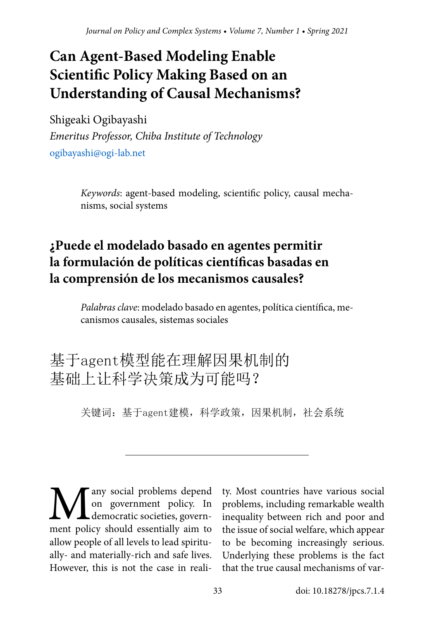## **Can Agent-Based Modeling Enable Scientific Policy Making Based on an Understanding of Causal Mechanisms?**

Shigeaki Ogibayashi

*Emeritus Professor, Chiba Institute of Technology* [ogibayashi@ogi-lab.net](mailto:ogibayashi%40ogi-lab.net?subject=)

> *Keywords*: agent-based modeling, scientific policy, causal mechanisms, social systems

## **¿Puede el modelado basado en agentes permitir la formulación de políticas científicas basadas en la comprensión de los mecanismos causales?**

*Palabras clave*: modelado basado en agentes, política científica, mecanismos causales, sistemas sociales

## 基于agent模型能在理解因果机制的 基础上让科学决策成为可能吗?

关键词:基于agent建模,科学政策,因果机制,社会系统

**Many** social problems depend<br>on government policy. In<br>ment policy should essentially aim to on government policy. In democratic societies, government policy should essentially aim to allow people of all levels to lead spiritually- and materially-rich and safe lives. However, this is not the case in reali-

ty. Most countries have various social problems, including remarkable wealth inequality between rich and poor and the issue of social welfare, which appear to be becoming increasingly serious. Underlying these problems is the fact that the true causal mechanisms of var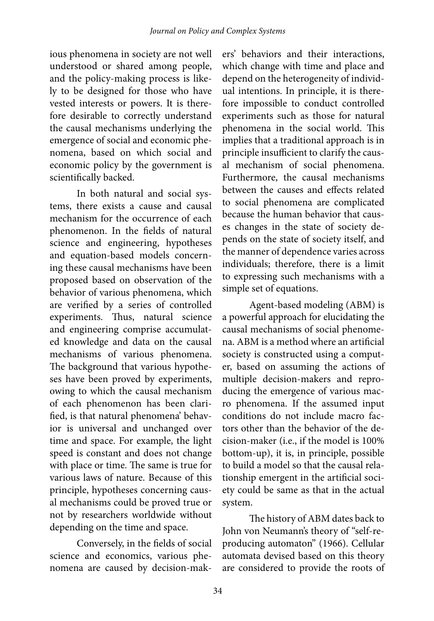ious phenomena in society are not well understood or shared among people, and the policy-making process is likely to be designed for those who have vested interests or powers. It is therefore desirable to correctly understand the causal mechanisms underlying the emergence of social and economic phenomena, based on which social and economic policy by the government is scientifically backed.

In both natural and social systems, there exists a cause and causal mechanism for the occurrence of each phenomenon. In the fields of natural science and engineering, hypotheses and equation-based models concerning these causal mechanisms have been proposed based on observation of the behavior of various phenomena, which are verified by a series of controlled experiments. Thus, natural science and engineering comprise accumulated knowledge and data on the causal mechanisms of various phenomena. The background that various hypotheses have been proved by experiments, owing to which the causal mechanism of each phenomenon has been clarified, is that natural phenomena' behavior is universal and unchanged over time and space. For example, the light speed is constant and does not change with place or time. The same is true for various laws of nature. Because of this principle, hypotheses concerning causal mechanisms could be proved true or not by researchers worldwide without depending on the time and space.

Conversely, in the fields of social science and economics, various phenomena are caused by decision-mak-

ers' behaviors and their interactions, which change with time and place and depend on the heterogeneity of individual intentions. In principle, it is therefore impossible to conduct controlled experiments such as those for natural phenomena in the social world. This implies that a traditional approach is in principle insufficient to clarify the causal mechanism of social phenomena. Furthermore, the causal mechanisms between the causes and effects related to social phenomena are complicated because the human behavior that causes changes in the state of society depends on the state of society itself, and the manner of dependence varies across individuals; therefore, there is a limit to expressing such mechanisms with a simple set of equations.

Agent-based modeling (ABM) is a powerful approach for elucidating the causal mechanisms of social phenomena. ABM is a method where an artificial society is constructed using a computer, based on assuming the actions of multiple decision-makers and reproducing the emergence of various macro phenomena. If the assumed input conditions do not include macro factors other than the behavior of the decision-maker (i.e., if the model is 100% bottom-up), it is, in principle, possible to build a model so that the causal relationship emergent in the artificial society could be same as that in the actual system.

The history of ABM dates back to John von Neumann's theory of "self-reproducing automaton" (1966). Cellular automata devised based on this theory are considered to provide the roots of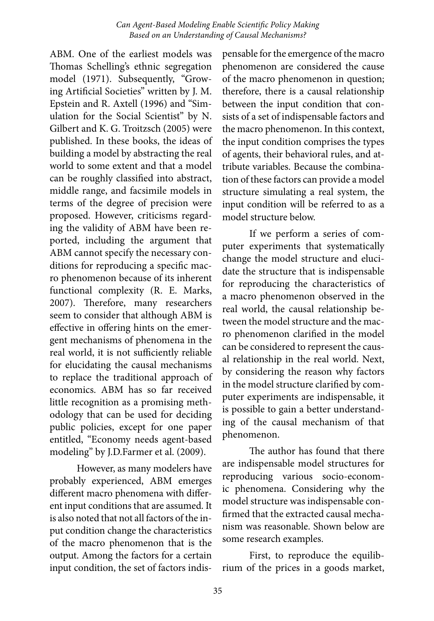ABM. One of the earliest models was Thomas Schelling's ethnic segregation model (1971). Subsequently, "Growing Artificial Societies" written by J. M. Epstein and R. Axtell (1996) and "Simulation for the Social Scientist" by N. Gilbert and K. G. Troitzsch (2005) were published. In these books, the ideas of building a model by abstracting the real world to some extent and that a model can be roughly classified into abstract, middle range, and facsimile models in terms of the degree of precision were proposed. However, criticisms regarding the validity of ABM have been reported, including the argument that ABM cannot specify the necessary conditions for reproducing a specific macro phenomenon because of its inherent functional complexity (R. E. Marks, 2007). Therefore, many researchers seem to consider that although ABM is effective in offering hints on the emergent mechanisms of phenomena in the real world, it is not sufficiently reliable for elucidating the causal mechanisms to replace the traditional approach of economics. ABM has so far received little recognition as a promising methodology that can be used for deciding public policies, except for one paper entitled, "Economy needs agent-based modeling" by J.D.Farmer et al. (2009).

However, as many modelers have probably experienced, ABM emerges different macro phenomena with different input conditions that are assumed. It is also noted that not all factors of the input condition change the characteristics of the macro phenomenon that is the output. Among the factors for a certain input condition, the set of factors indis-

pensable for the emergence of the macro phenomenon are considered the cause of the macro phenomenon in question; therefore, there is a causal relationship between the input condition that consists of a set of indispensable factors and the macro phenomenon. In this context, the input condition comprises the types of agents, their behavioral rules, and attribute variables. Because the combination of these factors can provide a model structure simulating a real system, the input condition will be referred to as a model structure below.

If we perform a series of computer experiments that systematically change the model structure and elucidate the structure that is indispensable for reproducing the characteristics of a macro phenomenon observed in the real world, the causal relationship between the model structure and the macro phenomenon clarified in the model can be considered to represent the causal relationship in the real world. Next, by considering the reason why factors in the model structure clarified by computer experiments are indispensable, it is possible to gain a better understanding of the causal mechanism of that phenomenon.

The author has found that there are indispensable model structures for reproducing various socio-economic phenomena. Considering why the model structure was indispensable confirmed that the extracted causal mechanism was reasonable. Shown below are some research examples.

First, to reproduce the equilibrium of the prices in a goods market,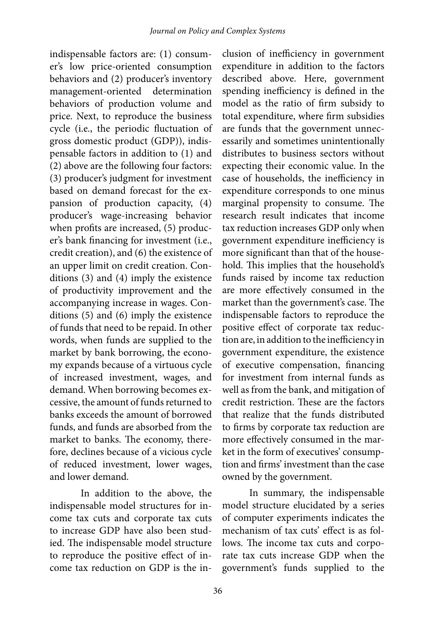indispensable factors are: (1) consumer's low price-oriented consumption behaviors and (2) producer's inventory management-oriented determination behaviors of production volume and price. Next, to reproduce the business cycle (i.e., the periodic fluctuation of gross domestic product (GDP)), indispensable factors in addition to (1) and (2) above are the following four factors: (3) producer's judgment for investment based on demand forecast for the expansion of production capacity, (4) producer's wage-increasing behavior when profits are increased, (5) producer's bank financing for investment (i.e., credit creation), and (6) the existence of an upper limit on credit creation. Conditions (3) and (4) imply the existence of productivity improvement and the accompanying increase in wages. Conditions (5) and (6) imply the existence of funds that need to be repaid. In other words, when funds are supplied to the market by bank borrowing, the economy expands because of a virtuous cycle of increased investment, wages, and demand. When borrowing becomes excessive, the amount of funds returned to banks exceeds the amount of borrowed funds, and funds are absorbed from the market to banks. The economy, therefore, declines because of a vicious cycle of reduced investment, lower wages, and lower demand.

In addition to the above, the indispensable model structures for income tax cuts and corporate tax cuts to increase GDP have also been studied. The indispensable model structure to reproduce the positive effect of income tax reduction on GDP is the in-

clusion of inefficiency in government expenditure in addition to the factors described above. Here, government spending inefficiency is defined in the model as the ratio of firm subsidy to total expenditure, where firm subsidies are funds that the government unnecessarily and sometimes unintentionally distributes to business sectors without expecting their economic value. In the case of households, the inefficiency in expenditure corresponds to one minus marginal propensity to consume. The research result indicates that income tax reduction increases GDP only when government expenditure inefficiency is more significant than that of the household. This implies that the household's funds raised by income tax reduction are more effectively consumed in the market than the government's case. The indispensable factors to reproduce the positive effect of corporate tax reduction are, in addition to the inefficiency in government expenditure, the existence of executive compensation, financing for investment from internal funds as well as from the bank, and mitigation of credit restriction. These are the factors that realize that the funds distributed to firms by corporate tax reduction are more effectively consumed in the market in the form of executives' consumption and firms' investment than the case owned by the government.

In summary, the indispensable model structure elucidated by a series of computer experiments indicates the mechanism of tax cuts' effect is as follows. The income tax cuts and corporate tax cuts increase GDP when the government's funds supplied to the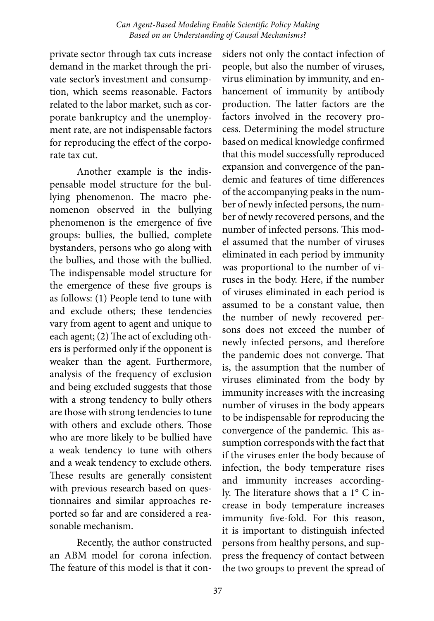private sector through tax cuts increase demand in the market through the private sector's investment and consumption, which seems reasonable. Factors related to the labor market, such as corporate bankruptcy and the unemployment rate, are not indispensable factors for reproducing the effect of the corporate tax cut.

Another example is the indispensable model structure for the bullying phenomenon. The macro phenomenon observed in the bullying phenomenon is the emergence of five groups: bullies, the bullied, complete bystanders, persons who go along with the bullies, and those with the bullied. The indispensable model structure for the emergence of these five groups is as follows: (1) People tend to tune with and exclude others; these tendencies vary from agent to agent and unique to each agent; (2) The act of excluding others is performed only if the opponent is weaker than the agent. Furthermore, analysis of the frequency of exclusion and being excluded suggests that those with a strong tendency to bully others are those with strong tendencies to tune with others and exclude others. Those who are more likely to be bullied have a weak tendency to tune with others and a weak tendency to exclude others. These results are generally consistent with previous research based on questionnaires and similar approaches reported so far and are considered a reasonable mechanism.

Recently, the author constructed an ABM model for corona infection. The feature of this model is that it con-

siders not only the contact infection of people, but also the number of viruses, virus elimination by immunity, and enhancement of immunity by antibody production. The latter factors are the factors involved in the recovery process. Determining the model structure based on medical knowledge confirmed that this model successfully reproduced expansion and convergence of the pandemic and features of time differences of the accompanying peaks in the number of newly infected persons, the number of newly recovered persons, and the number of infected persons. This model assumed that the number of viruses eliminated in each period by immunity was proportional to the number of viruses in the body. Here, if the number of viruses eliminated in each period is assumed to be a constant value, then the number of newly recovered persons does not exceed the number of newly infected persons, and therefore the pandemic does not converge. That is, the assumption that the number of viruses eliminated from the body by immunity increases with the increasing number of viruses in the body appears to be indispensable for reproducing the convergence of the pandemic. This assumption corresponds with the fact that if the viruses enter the body because of infection, the body temperature rises and immunity increases accordingly. The literature shows that a 1° C increase in body temperature increases immunity five-fold. For this reason, it is important to distinguish infected persons from healthy persons, and suppress the frequency of contact between the two groups to prevent the spread of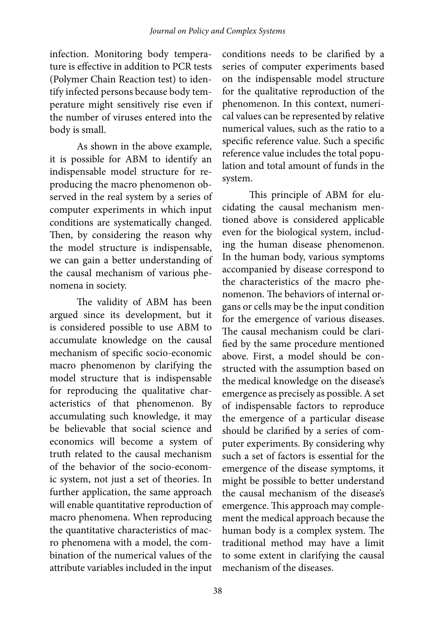infection. Monitoring body temperature is effective in addition to PCR tests (Polymer Chain Reaction test) to identify infected persons because body temperature might sensitively rise even if the number of viruses entered into the body is small.

As shown in the above example, it is possible for ABM to identify an indispensable model structure for reproducing the macro phenomenon observed in the real system by a series of computer experiments in which input conditions are systematically changed. Then, by considering the reason why the model structure is indispensable, we can gain a better understanding of the causal mechanism of various phenomena in society.

The validity of ABM has been argued since its development, but it is considered possible to use ABM to accumulate knowledge on the causal mechanism of specific socio-economic macro phenomenon by clarifying the model structure that is indispensable for reproducing the qualitative characteristics of that phenomenon. By accumulating such knowledge, it may be believable that social science and economics will become a system of truth related to the causal mechanism of the behavior of the socio-economic system, not just a set of theories. In further application, the same approach will enable quantitative reproduction of macro phenomena. When reproducing the quantitative characteristics of macro phenomena with a model, the combination of the numerical values of the attribute variables included in the input

conditions needs to be clarified by a series of computer experiments based on the indispensable model structure for the qualitative reproduction of the phenomenon. In this context, numerical values can be represented by relative numerical values, such as the ratio to a specific reference value. Such a specific reference value includes the total population and total amount of funds in the system.

This principle of ABM for elucidating the causal mechanism mentioned above is considered applicable even for the biological system, including the human disease phenomenon. In the human body, various symptoms accompanied by disease correspond to the characteristics of the macro phenomenon. The behaviors of internal organs or cells may be the input condition for the emergence of various diseases. The causal mechanism could be clarified by the same procedure mentioned above. First, a model should be constructed with the assumption based on the medical knowledge on the disease's emergence as precisely as possible. A set of indispensable factors to reproduce the emergence of a particular disease should be clarified by a series of computer experiments. By considering why such a set of factors is essential for the emergence of the disease symptoms, it might be possible to better understand the causal mechanism of the disease's emergence. This approach may complement the medical approach because the human body is a complex system. The traditional method may have a limit to some extent in clarifying the causal mechanism of the diseases.